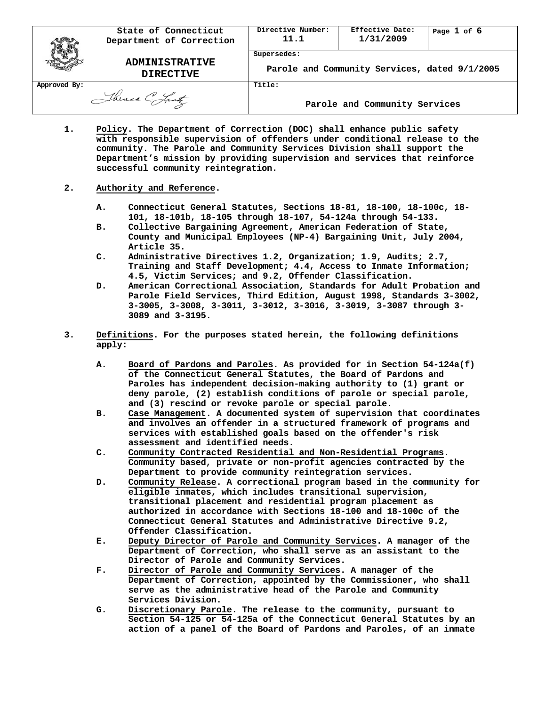|              | State of Connecticut<br>Department of Correction | Directive Number:<br>11.1                                    | Effective Date:<br>1/31/2009  | Page 1 of 6 |
|--------------|--------------------------------------------------|--------------------------------------------------------------|-------------------------------|-------------|
|              | <b>ADMINISTRATIVE</b><br><b>DIRECTIVE</b>        | Supersedes:<br>Parole and Community Services, dated 9/1/2005 |                               |             |
| Approved By: | Theresa C. Lantz                                 | Title:                                                       | Parole and Community Services |             |

**1. Policy. The Department of Correction (DOC) shall enhance public safety with responsible supervision of offenders under conditional release to the community. The Parole and Community Services Division shall support the Department's mission by providing supervision and services that reinforce successful community reintegration.**

## **2. Authority and Reference.**

- **A. Connecticut General Statutes, Sections 18-81, 18-100, 18-100c, 18- 101, 18-101b, 18-105 through 18-107, 54-124a through 54-133.**
- **B. Collective Bargaining Agreement, American Federation of State, County and Municipal Employees (NP-4) Bargaining Unit, July 2004, Article 35.**
- **C. Administrative Directives 1.2, Organization; 1.9, Audits; 2.7, Training and Staff Development; 4.4, Access to Inmate Information; 4.5, Victim Services; and 9.2, Offender Classification.**
- **D. American Correctional Association, Standards for Adult Probation and Parole Field Services, Third Edition, August 1998, Standards 3-3002, 3-3005, 3-3008, 3-3011, 3-3012, 3-3016, 3-3019, 3-3087 through 3- 3089 and 3-3195.**
- **3. Definitions. For the purposes stated herein, the following definitions apply:**
	- **A. Board of Pardons and Paroles. As provided for in Section 54-124a(f) of the Connecticut General Statutes, the Board of Pardons and Paroles has independent decision-making authority to (1) grant or deny parole, (2) establish conditions of parole or special parole, and (3) rescind or revoke parole or special parole.**
	- **B. Case Management. A documented system of supervision that coordinates and involves an offender in a structured framework of programs and services with established goals based on the offender's risk assessment and identified needs.**
	- **C. Community Contracted Residential and Non-Residential Programs. Community based, private or non-profit agencies contracted by the Department to provide community reintegration services.**
	- **D. Community Release. A correctional program based in the community for eligible inmates, which includes transitional supervision, transitional placement and residential program placement as authorized in accordance with Sections 18-100 and 18-100c of the Connecticut General Statutes and Administrative Directive 9.2, Offender Classification.**
	- **E. Deputy Director of Parole and Community Services. A manager of the Department of Correction, who shall serve as an assistant to the Director of Parole and Community Services.**
	- **F. Director of Parole and Community Services. A manager of the Department of Correction, appointed by the Commissioner, who shall serve as the administrative head of the Parole and Community Services Division.**
	- **G. Discretionary Parole. The release to the community, pursuant to Section 54-125 or 54-125a of the Connecticut General Statutes by an action of a panel of the Board of Pardons and Paroles, of an inmate**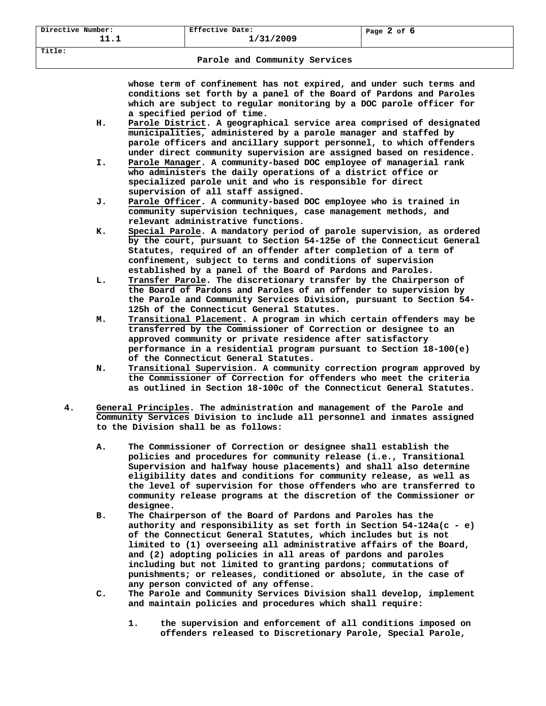## **Parole and Community Services**

**whose term of confinement has not expired, and under such terms and conditions set forth by a panel of the Board of Pardons and Paroles which are subject to regular monitoring by a DOC parole officer for a specified period of time.**

- **H. Parole District. A geographical service area comprised of designated municipalities, administered by a parole manager and staffed by parole officers and ancillary support personnel, to which offenders under direct community supervision are assigned based on residence.**
- **I. Parole Manager. A community-based DOC employee of managerial rank who administers the daily operations of a district office or specialized parole unit and who is responsible for direct supervision of all staff assigned.**
- **J. Parole Officer. A community-based DOC employee who is trained in community supervision techniques, case management methods, and relevant administrative functions.**
- **K. Special Parole. A mandatory period of parole supervision, as ordered by the court, pursuant to Section 54-125e of the Connecticut General Statutes, required of an offender after completion of a term of confinement, subject to terms and conditions of supervision established by a panel of the Board of Pardons and Paroles.**
- **L. Transfer Parole. The discretionary transfer by the Chairperson of the Board of Pardons and Paroles of an offender to supervision by the Parole and Community Services Division, pursuant to Section 54- 125h of the Connecticut General Statutes.**
- **M. Transitional Placement. A program in which certain offenders may be transferred by the Commissioner of Correction or designee to an approved community or private residence after satisfactory performance in a residential program pursuant to Section 18-100(e) of the Connecticut General Statutes.**
- **N. Transitional Supervision. A community correction program approved by the Commissioner of Correction for offenders who meet the criteria as outlined in Section 18-100c of the Connecticut General Statutes.**
- **4. General Principles. The administration and management of the Parole and Community Services Division to include all personnel and inmates assigned to the Division shall be as follows:**
	- **A. The Commissioner of Correction or designee shall establish the policies and procedures for community release (i.e., Transitional Supervision and halfway house placements) and shall also determine eligibility dates and conditions for community release, as well as the level of supervision for those offenders who are transferred to community release programs at the discretion of the Commissioner or designee.**
	- **B. The Chairperson of the Board of Pardons and Paroles has the authority and responsibility as set forth in Section 54-124a(c - e) of the Connecticut General Statutes, which includes but is not limited to (1) overseeing all administrative affairs of the Board, and (2) adopting policies in all areas of pardons and paroles including but not limited to granting pardons; commutations of punishments; or releases, conditioned or absolute, in the case of any person convicted of any offense.**
	- **C. The Parole and Community Services Division shall develop, implement and maintain policies and procedures which shall require:**
		- **1. the supervision and enforcement of all conditions imposed on offenders released to Discretionary Parole, Special Parole,**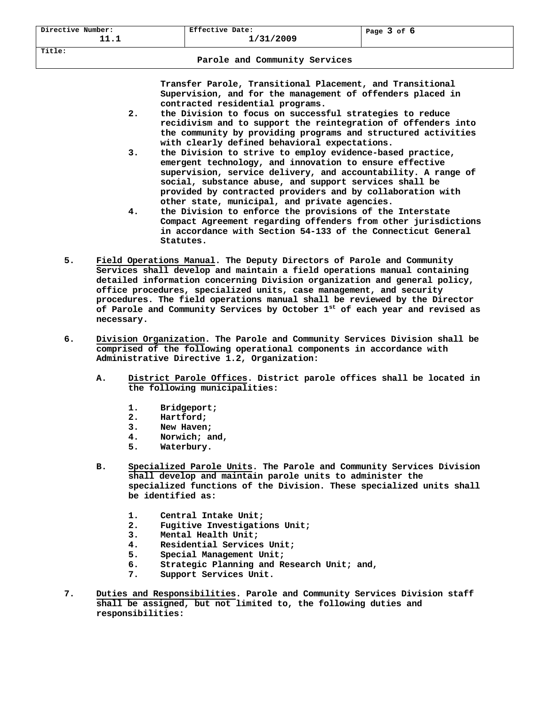**Title:**

**Transfer Parole, Transitional Placement, and Transitional Supervision, and for the management of offenders placed in contracted residential programs.**

- **2. the Division to focus on successful strategies to reduce recidivism and to support the reintegration of offenders into the community by providing programs and structured activities with clearly defined behavioral expectations.**
- **3. the Division to strive to employ evidence-based practice, emergent technology, and innovation to ensure effective supervision, service delivery, and accountability. A range of social, substance abuse, and support services shall be provided by contracted providers and by collaboration with other state, municipal, and private agencies.**
- **4. the Division to enforce the provisions of the Interstate Compact Agreement regarding offenders from other jurisdictions in accordance with Section 54-133 of the Connecticut General Statutes.**
- **5. Field Operations Manual. The Deputy Directors of Parole and Community Services shall develop and maintain a field operations manual containing detailed information concerning Division organization and general policy, office procedures, specialized units, case management, and security procedures. The field operations manual shall be reviewed by the Director of Parole and Community Services by October 1st of each year and revised as necessary.**
- **6. Division Organization. The Parole and Community Services Division shall be comprised of the following operational components in accordance with Administrative Directive 1.2, Organization:**
	- **A. District Parole Offices. District parole offices shall be located in the following municipalities:**
		- **1. Bridgeport;**
		- **2. Hartford;**
		- **3. New Haven;**
		- **4. Norwich; and,**
		- **5. Waterbury.**
	- **B. Specialized Parole Units. The Parole and Community Services Division shall develop and maintain parole units to administer the specialized functions of the Division. These specialized units shall be identified as:**
		- **1. Central Intake Unit;**
		- **2. Fugitive Investigations Unit;**
		- **3. Mental Health Unit;**
		- **4. Residential Services Unit;**
		- **5. Special Management Unit;**
		- **6. Strategic Planning and Research Unit; and,**
		- **7. Support Services Unit.**
- **7. Duties and Responsibilities. Parole and Community Services Division staff shall be assigned, but not limited to, the following duties and responsibilities:**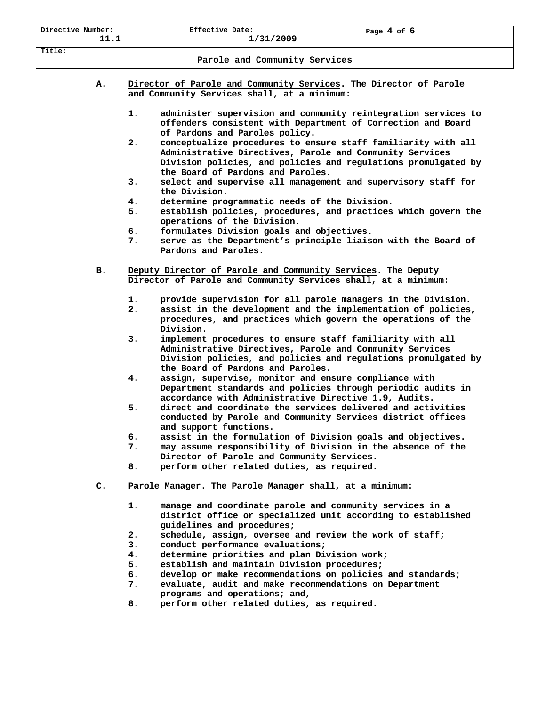| Directive Number:<br>11.1               | Effective Date:<br>1/31/2009 | Page 4 of 6 |  |  |  |  |  |
|-----------------------------------------|------------------------------|-------------|--|--|--|--|--|
| Title:<br>Parole and Community Services |                              |             |  |  |  |  |  |
|                                         |                              |             |  |  |  |  |  |

- **A. Director of Parole and Community Services. The Director of Parole and Community Services shall, at a minimum:**
	- **1. administer supervision and community reintegration services to offenders consistent with Department of Correction and Board of Pardons and Paroles policy.**
	- **2. conceptualize procedures to ensure staff familiarity with all Administrative Directives, Parole and Community Services Division policies, and policies and regulations promulgated by the Board of Pardons and Paroles.**
	- **3. select and supervise all management and supervisory staff for the Division.**
	- **4. determine programmatic needs of the Division.**
	- **5. establish policies, procedures, and practices which govern the operations of the Division.**
	- **6. formulates Division goals and objectives.**
	- **7. serve as the Department's principle liaison with the Board of Pardons and Paroles.**
- **B. Deputy Director of Parole and Community Services. The Deputy Director of Parole and Community Services shall, at a minimum:**
	- **1. provide supervision for all parole managers in the Division.**
	- **2. assist in the development and the implementation of policies, procedures, and practices which govern the operations of the Division.**
	- **3. implement procedures to ensure staff familiarity with all Administrative Directives, Parole and Community Services Division policies, and policies and regulations promulgated by the Board of Pardons and Paroles.**
	- **4. assign, supervise, monitor and ensure compliance with Department standards and policies through periodic audits in accordance with Administrative Directive 1.9, Audits.**
	- **5. direct and coordinate the services delivered and activities conducted by Parole and Community Services district offices and support functions.**
	- **6. assist in the formulation of Division goals and objectives.**
	- **7. may assume responsibility of Division in the absence of the**
	- **Director of Parole and Community Services. 8. perform other related duties, as required.**
- **C. Parole Manager. The Parole Manager shall, at a minimum:**
	- **1. manage and coordinate parole and community services in a district office or specialized unit according to established guidelines and procedures;**
	- **2. schedule, assign, oversee and review the work of staff;**
	- **3. conduct performance evaluations;**
	- **4. determine priorities and plan Division work;**
	- **5. establish and maintain Division procedures;**
	- **6. develop or make recommendations on policies and standards;**
	- **7. evaluate, audit and make recommendations on Department**
	- **programs and operations; and,**
	- **8. perform other related duties, as required.**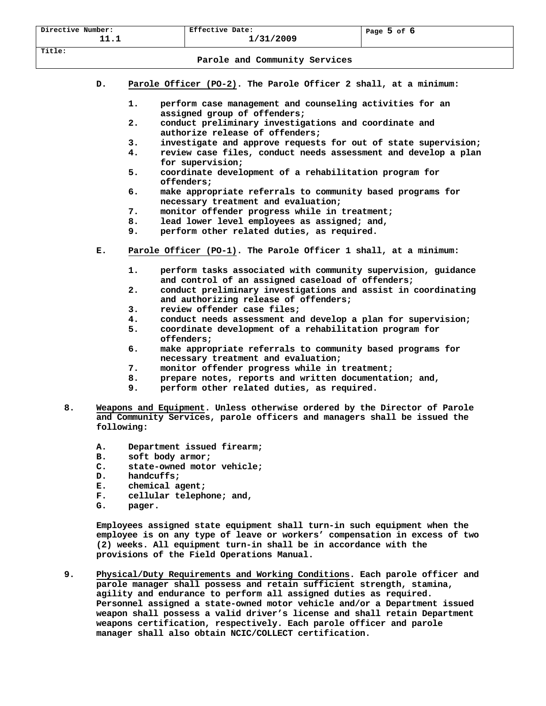|                                                                                                              | Directive Number:                                                                                                                                                                                                                                                        |                                                                           | Effective Date:                                                                                                    | Page 5 of 6 |  |  |  |  |
|--------------------------------------------------------------------------------------------------------------|--------------------------------------------------------------------------------------------------------------------------------------------------------------------------------------------------------------------------------------------------------------------------|---------------------------------------------------------------------------|--------------------------------------------------------------------------------------------------------------------|-------------|--|--|--|--|
| 11.1                                                                                                         |                                                                                                                                                                                                                                                                          |                                                                           | 1/31/2009                                                                                                          |             |  |  |  |  |
| Title:                                                                                                       |                                                                                                                                                                                                                                                                          |                                                                           |                                                                                                                    |             |  |  |  |  |
| Parole and Community Services                                                                                |                                                                                                                                                                                                                                                                          |                                                                           |                                                                                                                    |             |  |  |  |  |
|                                                                                                              | Parole Officer (PO-2). The Parole Officer 2 shall, at a minimum:<br>D.                                                                                                                                                                                                   |                                                                           |                                                                                                                    |             |  |  |  |  |
|                                                                                                              | 1.<br>perform case management and counseling activities for an<br>assigned group of offenders;                                                                                                                                                                           |                                                                           |                                                                                                                    |             |  |  |  |  |
|                                                                                                              |                                                                                                                                                                                                                                                                          | 2.                                                                        | conduct preliminary investigations and coordinate and<br>authorize release of offenders;                           |             |  |  |  |  |
|                                                                                                              |                                                                                                                                                                                                                                                                          | 3.                                                                        | investigate and approve requests for out of state supervision;                                                     |             |  |  |  |  |
|                                                                                                              |                                                                                                                                                                                                                                                                          | 4.                                                                        | review case files, conduct needs assessment and develop a plan<br>for supervision;                                 |             |  |  |  |  |
|                                                                                                              |                                                                                                                                                                                                                                                                          | 5.                                                                        | coordinate development of a rehabilitation program for<br>offenders;                                               |             |  |  |  |  |
|                                                                                                              |                                                                                                                                                                                                                                                                          | б.                                                                        | make appropriate referrals to community based programs for<br>necessary treatment and evaluation;                  |             |  |  |  |  |
|                                                                                                              |                                                                                                                                                                                                                                                                          | 7.                                                                        | monitor offender progress while in treatment;                                                                      |             |  |  |  |  |
| 8.<br>lead lower level employees as assigned; and,                                                           |                                                                                                                                                                                                                                                                          |                                                                           |                                                                                                                    |             |  |  |  |  |
|                                                                                                              |                                                                                                                                                                                                                                                                          | 9.                                                                        | perform other related duties, as required.                                                                         |             |  |  |  |  |
|                                                                                                              | Parole Officer (PO-1). The Parole Officer 1 shall, at a minimum:<br>Е.                                                                                                                                                                                                   |                                                                           |                                                                                                                    |             |  |  |  |  |
|                                                                                                              |                                                                                                                                                                                                                                                                          | 1.                                                                        | perform tasks associated with community supervision, guidance<br>and control of an assigned caseload of offenders; |             |  |  |  |  |
| conduct preliminary investigations and assist in coordinating<br>2.<br>and authorizing release of offenders; |                                                                                                                                                                                                                                                                          |                                                                           |                                                                                                                    |             |  |  |  |  |
|                                                                                                              |                                                                                                                                                                                                                                                                          | з.                                                                        | review offender case files:                                                                                        |             |  |  |  |  |
|                                                                                                              |                                                                                                                                                                                                                                                                          | 4.                                                                        | conduct needs assessment and develop a plan for supervision;                                                       |             |  |  |  |  |
|                                                                                                              |                                                                                                                                                                                                                                                                          | 5.                                                                        | coordinate development of a rehabilitation program for<br>offenders;                                               |             |  |  |  |  |
|                                                                                                              |                                                                                                                                                                                                                                                                          | б.                                                                        | make appropriate referrals to community based programs for<br>necessary treatment and evaluation;                  |             |  |  |  |  |
|                                                                                                              |                                                                                                                                                                                                                                                                          | 7.                                                                        | monitor offender progress while in treatment;                                                                      |             |  |  |  |  |
|                                                                                                              |                                                                                                                                                                                                                                                                          | 8.                                                                        | prepare notes, reports and written documentation; and,                                                             |             |  |  |  |  |
|                                                                                                              |                                                                                                                                                                                                                                                                          | 9.                                                                        | perform other related duties, as required.                                                                         |             |  |  |  |  |
| 8.                                                                                                           | Weapons and Equipment. Unless otherwise ordered by the Director of Parole                                                                                                                                                                                                |                                                                           |                                                                                                                    |             |  |  |  |  |
|                                                                                                              |                                                                                                                                                                                                                                                                          |                                                                           | and Community Services, parole officers and managers shall be issued the                                           |             |  |  |  |  |
|                                                                                                              | following:                                                                                                                                                                                                                                                               |                                                                           |                                                                                                                    |             |  |  |  |  |
| Department issued firearm;<br>А.                                                                             |                                                                                                                                                                                                                                                                          |                                                                           |                                                                                                                    |             |  |  |  |  |
|                                                                                                              | soft body armor;<br>в.                                                                                                                                                                                                                                                   |                                                                           |                                                                                                                    |             |  |  |  |  |
| state-owned motor vehicle;<br>$\mathbf{c}$ .<br>handcuffs;<br>D.                                             |                                                                                                                                                                                                                                                                          |                                                                           |                                                                                                                    |             |  |  |  |  |
|                                                                                                              |                                                                                                                                                                                                                                                                          |                                                                           |                                                                                                                    |             |  |  |  |  |
|                                                                                                              | Е.<br>chemical agent;                                                                                                                                                                                                                                                    |                                                                           |                                                                                                                    |             |  |  |  |  |
| cellular telephone; and,<br>F.                                                                               |                                                                                                                                                                                                                                                                          |                                                                           |                                                                                                                    |             |  |  |  |  |
|                                                                                                              |                                                                                                                                                                                                                                                                          | G.<br>pager.                                                              |                                                                                                                    |             |  |  |  |  |
|                                                                                                              | Employees assigned state equipment shall turn-in such equipment when the<br>employee is on any type of leave or workers' compensation in excess of two<br>(2) weeks. All equipment turn-in shall be in accordance with the<br>provisions of the Field Operations Manual. |                                                                           |                                                                                                                    |             |  |  |  |  |
|                                                                                                              |                                                                                                                                                                                                                                                                          |                                                                           |                                                                                                                    |             |  |  |  |  |
| 9.                                                                                                           | Physical/Duty Requirements and Working Conditions. Each parole officer and<br>parole manager shall possess and retain sufficient strength, stamina,                                                                                                                      |                                                                           |                                                                                                                    |             |  |  |  |  |
|                                                                                                              | agility and endurance to perform all assigned duties as required.<br>Personnel assigned a state-owned motor vehicle and/or a Department issued                                                                                                                           |                                                                           |                                                                                                                    |             |  |  |  |  |
|                                                                                                              |                                                                                                                                                                                                                                                                          | weapon shall possess a valid driver's license and shall retain Department |                                                                                                                    |             |  |  |  |  |

**weapons certification, respectively. Each parole officer and parole**

**manager shall also obtain NCIC/COLLECT certification.**